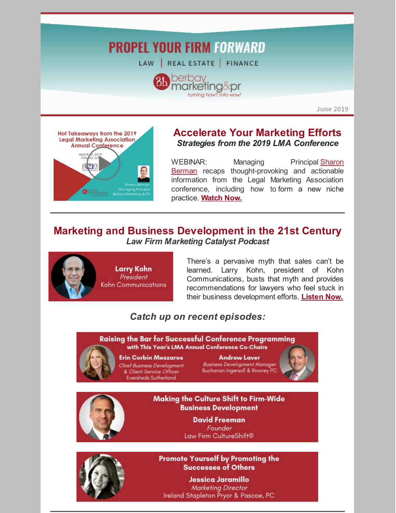# **PROPEL YOUR FIRM FORWARD**

LAW | REAL ESTATE | FINANCE



June 2019



### **Accelerate Your Marketing Efforts** *Strategies from the 2019 LMA Conference*

WEBINAR: Managing Principal Sharon **Berman** recaps [thought-provoking](https://www.berbay.com/about/our-team/sharon-berman/) and actionable information from the Legal Marketing Association conference, including how to form a new niche practice. **[Watch](https://www.youtube.com/watch?v=gTfSF7bdqgQ) Now.**

## **Marketing and Business Development in the 21st Century** *Law Firm Marketing Catalyst Podcast*



There's a pervasive myth that sales can't be learned. Larry Kohn, president of Kohn Communications, busts that myth and provides recommendations for lawyers who feel stuck in their business development efforts. **[Listen](http://bit.ly/LFMClarry) Now.**

# *Catch up on recent episodes:*

**Raising the Bar for Successful Conference Programming** with This Year's LMA Annual Conference Co-Chairs



#### **Erin Corbin Meszaros**

Chief Business Development & Client Service Officer **Eversheds Sutherland** 

**Andrew Laver Business Development Manager** Buchanan Ingersoll & Rooney PC





Making the Culture Shift to Firm-Wide **Business Development** 

> **David Freeman** Founder Law Firm CultureShift®



**Promote Yourself by Promoting the Successes of Others** 

Jessica Jaramillo **Marketing Director** Ireland Stapleton Pryor & Pascoe, PC